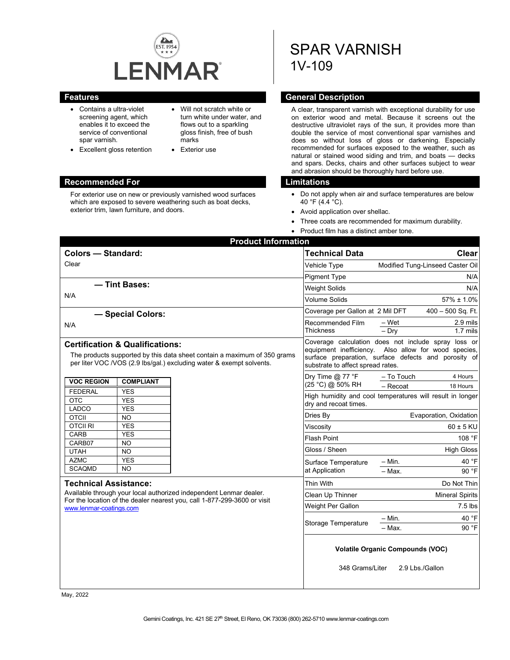

- Contains a ultra-violet screening agent, which enables it to exceed the service of conventional spar varnish.
- Excellent gloss retention
- Will not scratch white or turn white under water, and flows out to a sparkling gloss finish, free of bush marks
- Exterior use

#### **Recommended For Limitations**

For exterior use on new or previously varnished wood surfaces which are exposed to severe weathering such as boat decks, exterior trim, lawn furniture, and doors.

# SPAR VARNISH 1V-109

### **Features General Description**

A clear, transparent varnish with exceptional durability for use on exterior wood and metal. Because it screens out the destructive ultraviolet rays of the sun, it provides more than double the service of most conventional spar varnishes and does so without loss of gloss or darkening. Especially recommended for surfaces exposed to the weather, such as natural or stained wood siding and trim, and boats — decks and spars. Decks, chairs and other surfaces subject to wear and abrasion should be thoroughly hard before use.

- Do not apply when air and surface temperatures are below 40 °F (4.4 °C).
- Avoid application over shellac.
- Three coats are recommended for maximum durability.
- Product film has a distinct amber tone.

| <b>Product Information</b>                                                                                                                                                                                |  |                                                                                                                                                                                                          |                                  |                      |  |
|-----------------------------------------------------------------------------------------------------------------------------------------------------------------------------------------------------------|--|----------------------------------------------------------------------------------------------------------------------------------------------------------------------------------------------------------|----------------------------------|----------------------|--|
| <b>Colors - Standard:</b>                                                                                                                                                                                 |  | Technical Data                                                                                                                                                                                           | Clear                            |                      |  |
| Clear                                                                                                                                                                                                     |  | Vehicle Type                                                                                                                                                                                             | Modified Tung-Linseed Caster Oil |                      |  |
|                                                                                                                                                                                                           |  | <b>Pigment Type</b>                                                                                                                                                                                      | N/A                              |                      |  |
| - Tint Bases:                                                                                                                                                                                             |  | Weight Solids                                                                                                                                                                                            | N/A                              |                      |  |
| N/A                                                                                                                                                                                                       |  | <b>Volume Solids</b>                                                                                                                                                                                     | $57\% \pm 1.0\%$                 |                      |  |
| - Special Colors:                                                                                                                                                                                         |  | Coverage per Gallon at 2 Mil DFT                                                                                                                                                                         | $400 - 500$ Sq. Ft.              |                      |  |
| N/A                                                                                                                                                                                                       |  | Recommended Film<br>Thickness                                                                                                                                                                            | – Wet<br>$-$ Dry                 | 2.9 mils<br>1.7 mils |  |
|                                                                                                                                                                                                           |  |                                                                                                                                                                                                          |                                  |                      |  |
| <b>Certification &amp; Qualifications:</b><br>The products supported by this data sheet contain a maximum of 350 grams<br>per liter VOC /VOS (2.9 lbs/gal.) excluding water & exempt solvents.            |  | Coverage calculation does not include spray loss or<br>equipment inefficiency. Also allow for wood species,<br>surface preparation, surface defects and porosity of<br>substrate to affect spread rates. |                                  |                      |  |
| <b>VOC REGION</b><br><b>COMPLIANT</b>                                                                                                                                                                     |  | Dry Time @ 77 °F<br>(25 °C) @ 50% RH                                                                                                                                                                     | - To Touch                       | 4 Hours              |  |
| <b>FEDERAL</b><br><b>YES</b>                                                                                                                                                                              |  | $-$ Recoat<br>18 Hours                                                                                                                                                                                   |                                  |                      |  |
| <b>OTC</b><br><b>YES</b>                                                                                                                                                                                  |  | High humidity and cool temperatures will result in longer<br>dry and recoat times.                                                                                                                       |                                  |                      |  |
| LADCO<br><b>YES</b>                                                                                                                                                                                       |  | Dries By                                                                                                                                                                                                 | Evaporation, Oxidation           |                      |  |
| <b>OTCII</b><br><b>NO</b><br><b>OTCIL RI</b><br><b>YES</b>                                                                                                                                                |  | Viscosity                                                                                                                                                                                                | $60 \pm 5$ KU                    |                      |  |
| CARB<br><b>YES</b>                                                                                                                                                                                        |  |                                                                                                                                                                                                          | 108 °F                           |                      |  |
| CARB07<br><b>NO</b>                                                                                                                                                                                       |  | <b>Flash Point</b>                                                                                                                                                                                       |                                  |                      |  |
| <b>UTAH</b><br><b>NO</b>                                                                                                                                                                                  |  | Gloss / Sheen                                                                                                                                                                                            |                                  | <b>High Gloss</b>    |  |
| <b>AZMC</b><br><b>YES</b>                                                                                                                                                                                 |  | Surface Temperature                                                                                                                                                                                      | – Min.                           | 40 °F                |  |
| <b>SCAQMD</b><br><b>NO</b>                                                                                                                                                                                |  | at Application                                                                                                                                                                                           | - Max.                           | 90 °F                |  |
| <b>Technical Assistance:</b><br>Available through your local authorized independent Lenmar dealer.<br>For the location of the dealer nearest you, call 1-877-299-3600 or visit<br>www.lenmar-coatings.com |  | Thin With                                                                                                                                                                                                |                                  | Do Not Thin          |  |
|                                                                                                                                                                                                           |  | Clean Up Thinner                                                                                                                                                                                         | <b>Mineral Spirits</b>           |                      |  |
|                                                                                                                                                                                                           |  | Weight Per Gallon                                                                                                                                                                                        | $7.5$ lbs                        |                      |  |
|                                                                                                                                                                                                           |  |                                                                                                                                                                                                          | – Min.                           | 40 °F                |  |
|                                                                                                                                                                                                           |  | <b>Storage Temperature</b>                                                                                                                                                                               | - Max.                           | 90 °F                |  |
|                                                                                                                                                                                                           |  | <b>Volatile Organic Compounds (VOC)</b><br>2.9 Lbs./Gallon<br>348 Grams/Liter                                                                                                                            |                                  |                      |  |

May, 2022